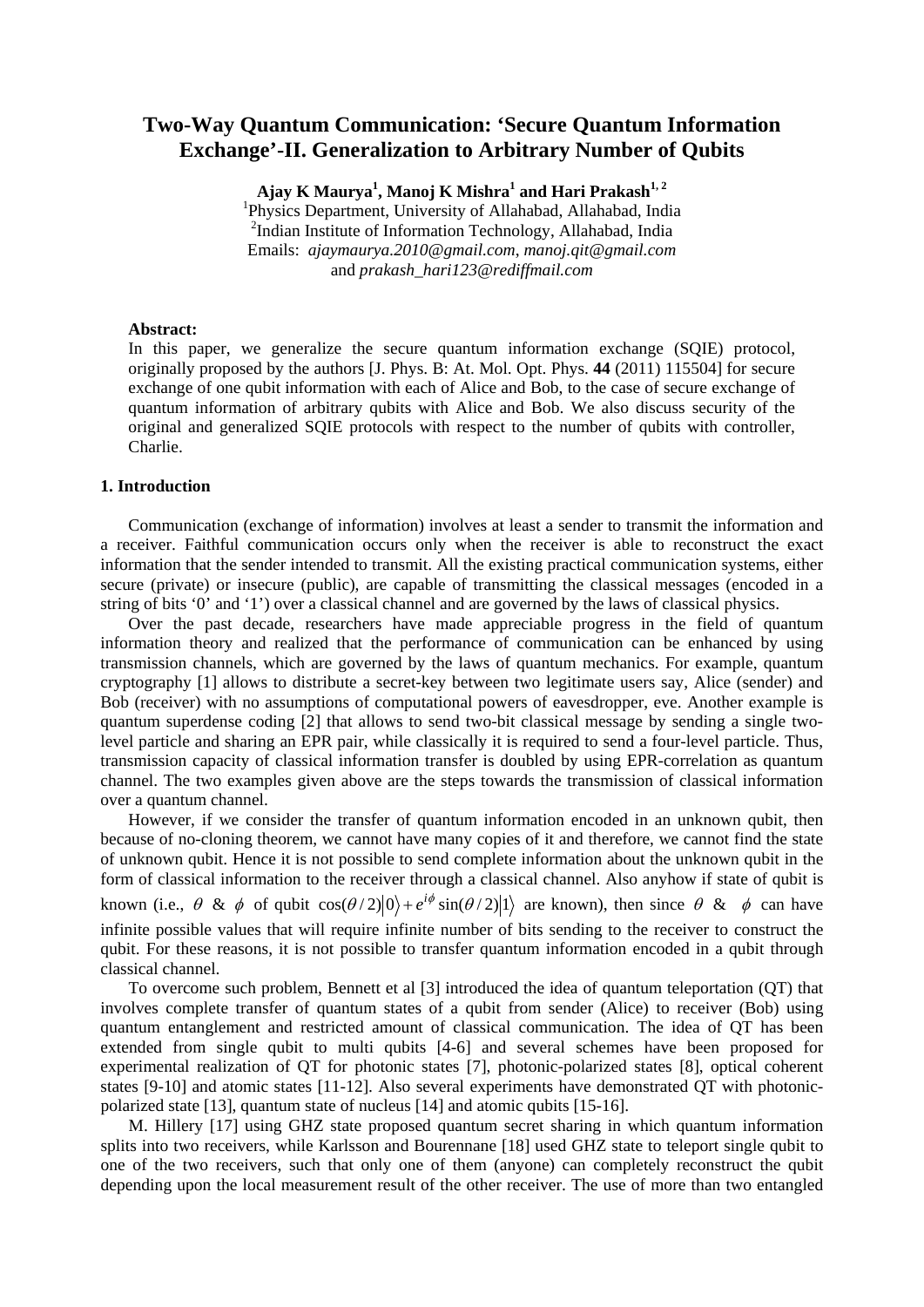# **Two-Way Quantum Communication: 'Secure Quantum Information Exchange'-II. Generalization to Arbitrary Number of Qubits**

**Ajay K Maurya<sup>1</sup> , Manoj K Mishra<sup>1</sup> and Hari Prakash1, 2** <sup>1</sup>Physics Department, University of Allahabad, Allahabad, India <sup>2</sup>Indian Institute of Information Technology, Allahabad, India Emails: *ajaymaurya.2010@gmail.com*, *manoj.qit@gmail.com* and *prakash\_hari123@rediffmail.com*

### **Abstract:**

In this paper, we generalize the secure quantum information exchange (SQIE) protocol, originally proposed by the authors [J. Phys. B: At. Mol. Opt. Phys. **44** (2011) 115504] for secure exchange of one qubit information with each of Alice and Bob, to the case of secure exchange of quantum information of arbitrary qubits with Alice and Bob. We also discuss security of the original and generalized SQIE protocols with respect to the number of qubits with controller, Charlie.

# **1. Introduction**

Communication (exchange of information) involves at least a sender to transmit the information and a receiver. Faithful communication occurs only when the receiver is able to reconstruct the exact information that the sender intended to transmit. All the existing practical communication systems, either secure (private) or insecure (public), are capable of transmitting the classical messages (encoded in a string of bits '0' and '1') over a classical channel and are governed by the laws of classical physics.

Over the past decade, researchers have made appreciable progress in the field of quantum information theory and realized that the performance of communication can be enhanced by using transmission channels, which are governed by the laws of quantum mechanics. For example, quantum cryptography [1] allows to distribute a secret-key between two legitimate users say, Alice (sender) and Bob (receiver) with no assumptions of computational powers of eavesdropper, eve. Another example is quantum superdense coding [2] that allows to send two-bit classical message by sending a single twolevel particle and sharing an EPR pair, while classically it is required to send a four-level particle. Thus, transmission capacity of classical information transfer is doubled by using EPR-correlation as quantum channel. The two examples given above are the steps towards the transmission of classical information over a quantum channel.

However, if we consider the transfer of quantum information encoded in an unknown qubit, then because of no-cloning theorem, we cannot have many copies of it and therefore, we cannot find the state of unknown qubit. Hence it is not possible to send complete information about the unknown qubit in the form of classical information to the receiver through a classical channel. Also anyhow if state of qubit is known (i.e.,  $\theta \& \phi$  of qubit  $\cos(\theta/2)|0\rangle + e^{i\phi} \sin(\theta/2)|1\rangle$  are known), then since  $\theta \& \phi$  can have infinite possible values that will require infinite number of bits sending to the receiver to construct the qubit. For these reasons, it is not possible to transfer quantum information encoded in a qubit through classical channel.

To overcome such problem, Bennett et al [3] introduced the idea of quantum teleportation (QT) that involves complete transfer of quantum states of a qubit from sender (Alice) to receiver (Bob) using quantum entanglement and restricted amount of classical communication. The idea of QT has been extended from single qubit to multi qubits [4-6] and several schemes have been proposed for experimental realization of QT for photonic states [7], photonic-polarized states [8], optical coherent states [9-10] and atomic states [11-12]. Also several experiments have demonstrated QT with photonicpolarized state [13], quantum state of nucleus [14] and atomic qubits [15-16].

M. Hillery [17] using GHZ state proposed quantum secret sharing in which quantum information splits into two receivers, while Karlsson and Bourennane [18] used GHZ state to teleport single qubit to one of the two receivers, such that only one of them (anyone) can completely reconstruct the qubit depending upon the local measurement result of the other receiver. The use of more than two entangled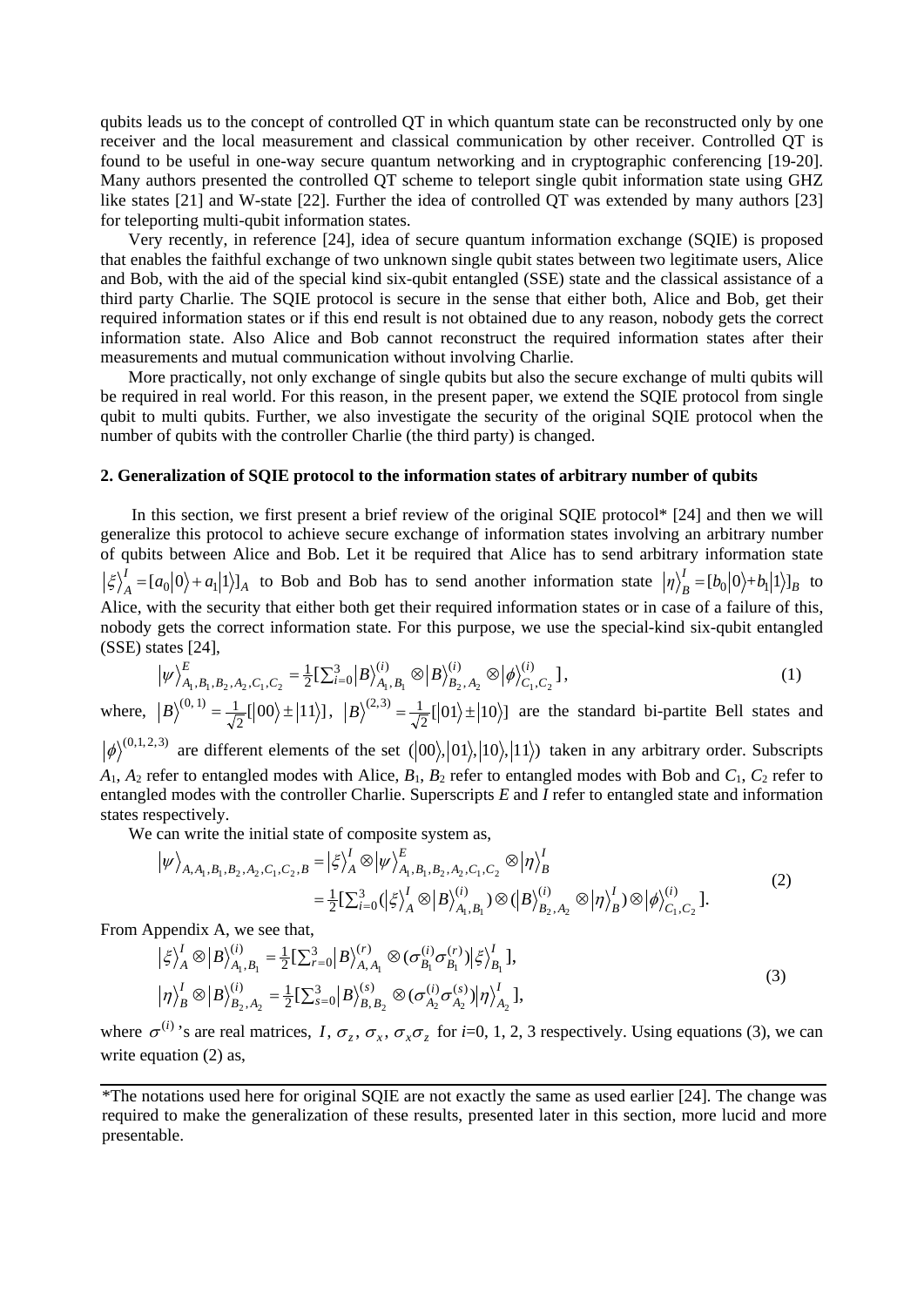qubits leads us to the concept of controlled QT in which quantum state can be reconstructed only by one receiver and the local measurement and classical communication by other receiver. Controlled QT is found to be useful in one-way secure quantum networking and in cryptographic conferencing [19-20]. Many authors presented the controlled QT scheme to teleport single qubit information state using GHZ like states [21] and W-state [22]. Further the idea of controlled QT was extended by many authors [23] for teleporting multi-qubit information states.

Very recently, in reference [24], idea of secure quantum information exchange (SQIE) is proposed that enables the faithful exchange of two unknown single qubit states between two legitimate users, Alice and Bob, with the aid of the special kind six-qubit entangled (SSE) state and the classical assistance of a third party Charlie. The SQIE protocol is secure in the sense that either both, Alice and Bob, get their required information states or if this end result is not obtained due to any reason, nobody gets the correct information state. Also Alice and Bob cannot reconstruct the required information states after their measurements and mutual communication without involving Charlie.

More practically, not only exchange of single qubits but also the secure exchange of multi qubits will be required in real world. For this reason, in the present paper, we extend the SQIE protocol from single qubit to multi qubits. Further, we also investigate the security of the original SQIE protocol when the number of qubits with the controller Charlie (the third party) is changed.

#### **2. Generalization of SQIE protocol to the information states of arbitrary number of qubits**

In this section, we first present a brief review of the original SQIE protocol\* [24] and then we will generalize this protocol to achieve secure exchange of information states involving an arbitrary number of qubits between Alice and Bob. Let it be required that Alice has to send arbitrary information state *A*  $\left\langle \xi \right\rangle_A^I = \left[ a_0 | 0 \rangle + a_1 | 1 \rangle \right]_A$  to Bob and Bob has to send another information state  $\left| \eta \right\rangle_B^I = \left[ b_0 | 0 \rangle + b_1 | 1 \rangle \right]_B$  to Alice, with the security that either both get their required information states or in case of a failure of this, nobody gets the correct information state. For this purpose, we use the special-kind six-qubit entangled (SSE) states [24],

$$
\left|\psi\right\rangle_{A_1,B_1,B_2,A_2,C_1,C_2}^E = \frac{1}{2} \left[\sum_{i=0}^3 \left|B\right\rangle_{A_1,B_1}^{(i)} \otimes \left|B\right\rangle_{B_2,A_2}^{(i)} \otimes \left|\phi\right\rangle_{C_1,C_2}^{(i)}\right],\tag{1}
$$

where,  $|B\rangle^{(0,1)} = \frac{1}{\sqrt{2}}[|00\rangle \pm |11\rangle]$ ,  $|B\rangle^{(2,3)} = \frac{1}{\sqrt{2}}[|01\rangle \pm |10\rangle]$  are the standard bi-partite Bell states and

 $|\phi\rangle^{(0,1,2,3)}$  are different elements of the set  $(|00\rangle, |01\rangle, |10\rangle, |11\rangle)$  taken in any arbitrary order. Subscripts  $A_1$ ,  $A_2$  refer to entangled modes with Alice,  $B_1$ ,  $B_2$  refer to entangled modes with Bob and  $C_1$ ,  $C_2$  refer to entangled modes with the controller Charlie. Superscripts *E* and *I* refer to entangled state and information states respectively.

We can write the initial state of composite system as,

$$
\begin{split} \left| \psi \right\rangle_{A,A_1,B_1,B_2,A_2,C_1,C_2,B} &= \left| \xi \right\rangle_A^I \otimes \left| \psi \right\rangle_{A_1,B_1,B_2,A_2,C_1,C_2}^E \otimes \left| \eta \right\rangle_B^I \\ &= \frac{1}{2} \left[ \sum_{i=0}^3 (\left| \xi \right\rangle_A^I \otimes \left| B \right\rangle_{A_1,B_1}^{(i)}) \otimes (\left| B \right\rangle_{B_2,A_2}^{(i)} \otimes \left| \eta \right\rangle_B^I) \otimes \left| \phi \right\rangle_{C_1,C_2}^{(i)} \right]. \end{split} \tag{2}
$$

From Appendix A, we see that,

$$
\left|\xi\right\rangle_{A}^{I} \otimes \left|B\right\rangle_{A_{1},B_{1}}^{(i)} = \frac{1}{2} \left[\sum_{r=0}^{3} \left|B\right\rangle_{A,A_{1}}^{(r)} \otimes \left(\sigma_{B_{1}}^{(i)} \sigma_{B_{1}}^{(r)}\right) \left|\xi\right\rangle_{B_{1}}^{I},
$$
\n
$$
\left|\eta\right\rangle_{B}^{I} \otimes \left|B\right\rangle_{B_{2},A_{2}}^{(i)} = \frac{1}{2} \left[\sum_{s=0}^{3} \left|B\right\rangle_{B,B_{2}}^{(s)} \otimes \left(\sigma_{A_{2}}^{(i)} \sigma_{A_{2}}^{(s)}\right) \left|\eta\right\rangle_{A_{2}}^{I},
$$
\n(3)

where  $\sigma^{(i)}$  's are real matrices, *I*,  $\sigma_z$ ,  $\sigma_x$ ,  $\sigma_z$  for *i*=0, 1, 2, 3 respectively. Using equations (3), we can write equation (2) as,

<sup>\*</sup>The notations used here for original SQIE are not exactly the same as used earlier [24]. The change was required to make the generalization of these results, presented later in this section, more lucid and more presentable.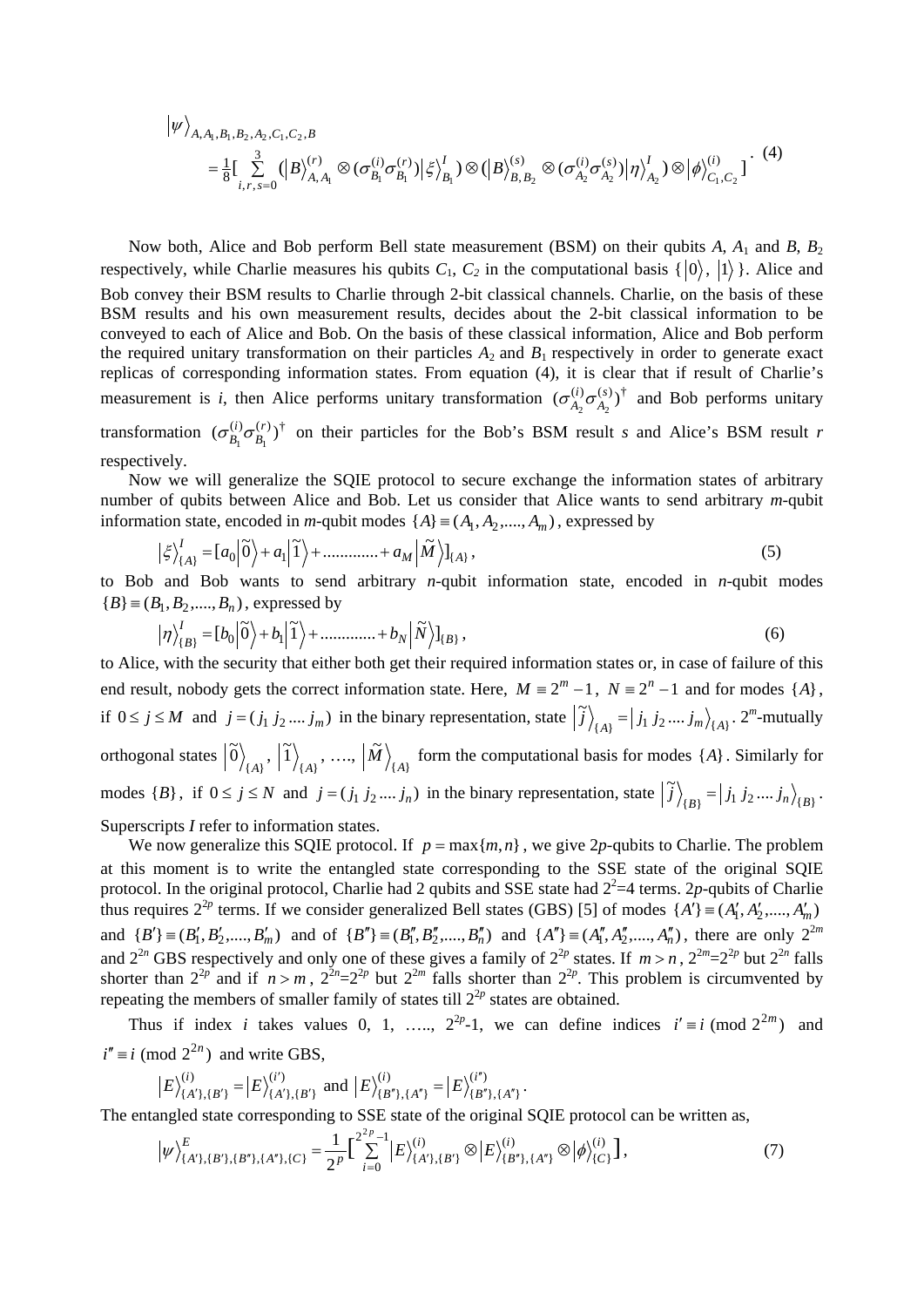$$
\begin{split} \left| \psi \right\rangle_{A,A_1,B_1,B_2,A_2,C_1,C_2,B} \\ &= \frac{1}{8} \left[ \sum_{i,r,s=0}^{3} \left( \left| B \right\rangle_{A,A_1}^{(r)} \otimes (\sigma_{B_1}^{(i)} \sigma_{B_1}^{(r)}) \right| \xi \right\rangle_{B_1}^{I} ) \otimes \left( \left| B \right\rangle_{B,B_2}^{(s)} \otimes (\sigma_{A_2}^{(i)} \sigma_{A_2}^{(s)}) \right| \eta \right\rangle_{A_2}^{I} ) \otimes \left| \phi \right\rangle_{C_1,C_2}^{(i)} \end{split} \tag{4}
$$

Now both, Alice and Bob perform Bell state measurement (BSM) on their qubits *A*, *A*<sup>1</sup> and *B*, *B*<sup>2</sup> respectively, while Charlie measures his qubits  $C_1$ ,  $C_2$  in the computational basis  $\{|0\rangle, |1\rangle\}$ . Alice and Bob convey their BSM results to Charlie through 2-bit classical channels. Charlie, on the basis of these BSM results and his own measurement results, decides about the 2-bit classical information to be conveyed to each of Alice and Bob. On the basis of these classical information, Alice and Bob perform the required unitary transformation on their particles  $A_2$  and  $B_1$  respectively in order to generate exact replicas of corresponding information states. From equation (4), it is clear that if result of Charlie's measurement is *i*, then Alice performs unitary transformation  $(\sigma_{A_2}^{(i)} \sigma_{A_2}^{(s)})^{\dagger}$ *A*  $\left(\sigma_{A_2}^{(i)}\sigma_{A_2}^{(s)}\right)^{\dagger}$  and Bob performs unitary transformation  $(\sigma_{B_1}^{(i)} \sigma_{B_1}^{(r)})^{\dagger}$ *B*  $\sigma_{B_1}^{(i)} \sigma_{B_1}^{(r)}$  on their particles for the Bob's BSM result *s* and Alice's BSM result *r* respectively.

Now we will generalize the SQIE protocol to secure exchange the information states of arbitrary number of qubits between Alice and Bob. Let us consider that Alice wants to send arbitrary *m*-qubit information state, encoded in *m*-qubit modes  $\{A\} \equiv (A_1, A_2, \dots, A_m)$ , expressed by

$$
\left|\xi\right\rangle_{\{A\}}^{I} = \left[a_0\right|\widetilde{0}\right\rangle + a_1\left|\widetilde{1}\right\rangle + \dots + a_M\left|\widetilde{M}\right\rangle\right]_{\{A\}},\tag{5}
$$

to Bob and Bob wants to send arbitrary *n*-qubit information state, encoded in *n*-qubit modes  ${B} \equiv (B_1, B_2, \dots, B_n)$ , expressed by

$$
\left|\eta\right\rangle_{\{B\}}^{I} = \left[b_0\right]\tilde{0} + b_1\left|\tilde{1}\right\rangle + \dots + b_N\left|\tilde{N}\right\rangle_{\{B\}},\tag{6}
$$

to Alice, with the security that either both get their required information states or, in case of failure of this end result, nobody gets the correct information state. Here,  $M = 2^m - 1$ ,  $N = 2^n - 1$  and for modes  $\{A\}$ , if  $0 \le j \le M$  and  $j = (j_1 j_2 ... j_m)$  in the binary representation, state  $\left| \tilde{j} \right\rangle_{\{A\}} = \left| j_1 j_2 ... j_m \right\rangle_{\{A\}}$ . 2<sup>*m*</sup>-mutually orthogonal states  $\left| \tilde{0} \right\rangle_{\{A\}}, \left| \tilde{1} \right\rangle_{\{A\}}, \dots, \left| \tilde{M} \right\rangle_{\{A\}}$  $M$ <sub> $\bigg\}$ </sup> $_{\{A\}}$  form the computational basis for modes  $\{A\}$ . Similarly for</sub> modes  $\{B\}$ , if  $0 \le j \le N$  and  $j = (j_1 j_2 ... j_n)$  in the binary representation, state  $\left| \tilde{j} \right\rangle_{\{B\}} = \left| j_1 j_2 ... j_n \right\rangle_{\{B\}}$ . Superscripts *I* refer to information states.

We now generalize this SQIE protocol. If  $p = max{m, n}$ , we give 2p-qubits to Charlie. The problem at this moment is to write the entangled state corresponding to the SSE state of the original SQIE protocol. In the original protocol, Charlie had 2 qubits and SSE state had  $2^2=4$  terms. 2p-qubits of Charlie thus requires  $2^{2p}$  terms. If we consider generalized Bell states (GBS) [5] of modes  $\{A'\} \equiv (A'_1, A'_2, \dots, A'_m)$ and  ${B'} \equiv (B'_1, B'_2, \dots, B'_m)$  and of  ${B''} \equiv (B''_1, B''_2, \dots, B''_n)$  and  ${A''} \equiv (A''_1, A''_2, \dots, A''_n)$ , there are only  $2^{2m}$ and  $2^{2n}$  GBS respectively and only one of these gives a family of  $2^{2p}$  states. If  $m > n$ ,  $2^{2m} = 2^{2p}$  but  $2^{2n}$  falls shorter than  $2^{2p}$  and if  $n > m$ ,  $2^{2n} = 2^{2p}$  but  $2^{2m}$  falls shorter than  $2^{2p}$ . This problem is circumvented by repeating the members of smaller family of states till  $2^{2p}$  states are obtained.

Thus if index *i* takes values 0, 1, …,  $2^{2p}$ -1, we can define indices  $i' \equiv i \pmod{2^{2m}}$  and  $i'' \equiv i \pmod{2^{2n}}$  and write GBS,

$$
|E\rangle_{\{A'\},\{B'\}}^{(i)} = |E\rangle_{\{A'\},\{B'\}}^{(i')}
$$
 and  $|E\rangle_{\{B''\},\{A''\}}^{(i)} = |E\rangle_{\{B''\},\{A''\}}^{(i'')}$ 

The entangled state corresponding to SSE state of the original SQIE protocol can be written as,

$$
\left|\psi\right\rangle_{\{A'\},\{B'\},\{B''\},\{A''\},\{C\}}^{E} = \frac{1}{2^p} \Big| \sum_{i=0}^{2^p-1} \left|E\right\rangle_{\{A'\},\{B'\}}^{(i)} \otimes \left|E\right\rangle_{\{B''\},\{A''\}}^{(i)} \otimes \left|\phi\right\rangle_{\{C\}}^{(i)} \Big],\tag{7}
$$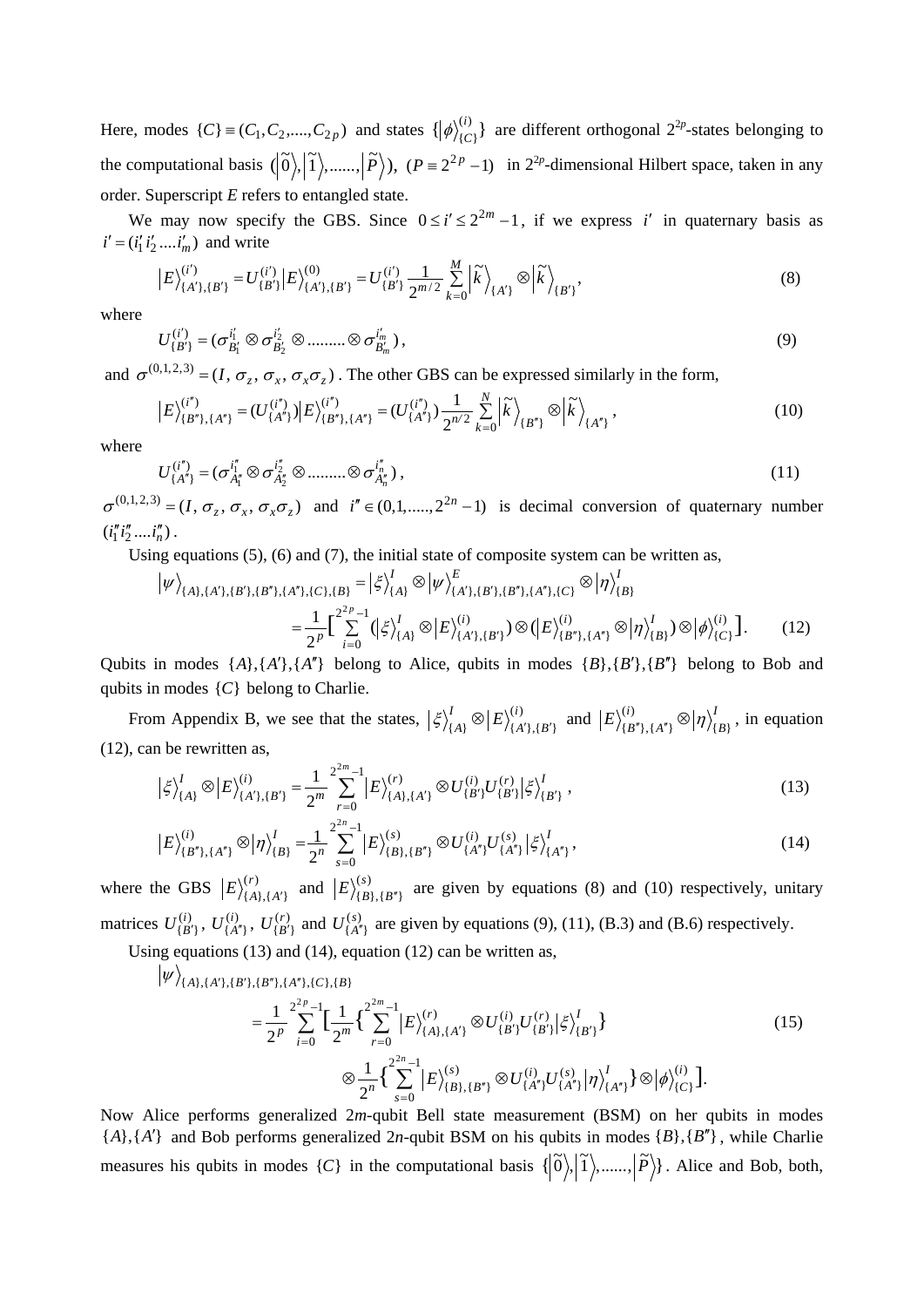Here, modes  $\{C\} \equiv (C_1, C_2, ..., C_{2p})$  and states  $\{ |\phi_{\{C\}}^{(i)} \}$  $\phi$ <sup>(i)</sup><sub>{C}</sub></sub>} are different orthogonal 2<sup>2*p*</sup>-states belonging to the computational basis  $(|\tilde{0}\rangle, |\tilde{1}\rangle, \dots, |\tilde{P}\rangle)$ ,  $(P = 2^{2p} - 1)$  in  $2^{2p}$ -dimensional Hilbert space, taken in any order. Superscript *E* refers to entangled state.

We may now specify the GBS. Since  $0 \le i' \le 2^{2m} - 1$ , if we express *i*' in quaternary basis as  $i' = (i'_1 i'_2 .... i'_m)$  and write

$$
\left|E\right>_{\{A'\},\{B'\}}^{(i')} = U_{\{B'\}}^{(i')} \left|E\right>_{\{A'\},\{B'\}}^{(0)} = U_{\{B'\}}^{(i')} \frac{1}{2^{m/2}} \sum_{k=0}^{M} \left| \widetilde{k} \right>_{\{A'\}} \otimes \left| \widetilde{k} \right>_{\{B'\}},\tag{8}
$$

where

$$
U_{\{B'\}}^{(i')} = (\sigma_{B'_1}^{i'_1} \otimes \sigma_{B'_2}^{i'_2} \otimes \dots \otimes \sigma_{B'_m}^{i'_m}),
$$
\n(9)

and  $\sigma^{(0,1,2,3)} = (I, \sigma_z, \sigma_x, \sigma_x, \sigma_z)$ . The other GBS can be expressed similarly in the form,

$$
\left|E\right>_{\{B^{n}\},\{A^{n}\}}^{(i^{n})} = (U_{\{A^{n}\}}^{(i^{n})})\left|E\right>_{\{B^{n}\},\{A^{n}\}}^{(i^{n})} = (U_{\{A^{n}\}}^{(i^{n})})\frac{1}{2^{n/2}}\sum_{k=0}^{N}\left|\tilde{k}\right\rangle_{\{B^{n}\}} \otimes \left|\tilde{k}\right\rangle_{\{A^{n}\}},\tag{10}
$$

where

 $|\psi\rangle_{(A)}$ 

$$
U_{\{A''\}}^{(i'')} = (\sigma_{A''_1}^{i''_1} \otimes \sigma_{A''_2}^{i''_2} \otimes \dots \otimes \sigma_{A''_n}^{i''_n}),
$$
\n(11)

 $\sigma^{(0,1,2,3)} = (I, \sigma_z, \sigma_x, \sigma_x, \sigma_z)$  and  $i'' \in (0,1, \ldots, 2^{2n}-1)$  is decimal conversion of quaternary number  $(i''_1 i''_2 .... i''_n)$ .

Using equations (5), (6) and (7), the initial state of composite system can be written as,

$$
\begin{split} \left| \psi \right\rangle_{\{A\},\{A'\},\{B'\},\{B''\},\{A''\},\{C\},\{B\}} &= \left| \xi \right\rangle_{\{A\}}^{I} \otimes \left| \psi \right\rangle_{\{A'\},\{B'\},\{B''\},\{A''\},\{C\}}^{E} \otimes \left| \eta \right\rangle_{\{B\}}^{I} \\ &= \frac{1}{2^{p}} \Big[ \sum_{i=0}^{2^{2p}-1} \left( \left| \xi \right\rangle_{\{A\}}^{I} \otimes \left| E \right\rangle_{\{A'\},\{B'\}}^{(i)} \right) \otimes \left( \left| E \right\rangle_{\{B''\},\{A''\}}^{(i)} \otimes \left| \eta \right\rangle_{\{B\}}^{I} \right) \otimes \left| \phi \right\rangle_{\{C\}}^{(i)} \Big]. \end{split} \tag{12}
$$

Qubits in modes  $\{A\}, \{A'\}, \{A''\}$  belong to Alice, qubits in modes  $\{B\}, \{B'\}, \{B''\}$  belong to Bob and qubits in modes {*C*} belong to Charlie.

From Appendix B, we see that the states,  $\left| \xi \right\rangle_{\{A\}}^{I} \otimes \left| E \right\rangle_{\{A'\},\{B'\}}^{(i)}$ *i A B*  $\langle \xi \rangle_{\{A\}}^{I} \otimes |E\rangle_{\{A'\},\{B'\}}^{(i)}$  and  $|E\rangle_{\{B''\},\{A''\}}^{(i)} \otimes | \eta \rangle_{\{B''\}}^{I}$  $E \rangle_{\{B^n\},\{A^n\}}^{(i)} \otimes |\eta\rangle_{\{B\}}^I$ , in equation (12), can be rewritten as,

$$
\left|\xi\right\rangle_{\{A\}}^{I}\otimes\left|E\right\rangle_{\{A'\},\{B'\}}^{(i)} = \frac{1}{2^{m}}\sum_{r=0}^{2^{2m}-1} \left|E\right\rangle_{\{A\},\{A'\}}^{(r)} \otimes U_{\{B'\}}^{(i)} U_{\{B'\}}^{(r)} \left|\xi\right\rangle_{\{B'\}}^{I},\tag{13}
$$

$$
\left|E\right\rangle_{\{B^{n}\},\{A^{n}\}}^{(i)}\otimes\left|\eta\right\rangle_{\{B\}}^{I}=\frac{1}{2^{n}}\sum_{s=0}^{2^{2n}-1}\left|E\right\rangle_{\{B\},\{B^{n}\}}^{(s)}\otimes U_{\{A^{n}\}}^{(i)}U_{\{A^{n}\}}^{(s)}\left|\xi\right\rangle_{\{A^{n}\}}^{I},\tag{14}
$$

where the GBS  $|E\rangle_{\{A\},\{A'\}}^{(r)}$  $E\Big\rangle^{(r)}_{\{A\},\{A'\}}$  and  $\Big|E\Big\rangle^{(s)}_{\{B\},\{B''\}}$  $E_{\{B\},\{B"\}}^{(s)}$  are given by equations (8) and (10) respectively, unitary matrices  $U_{\{B'\}}^{(i)}$ ,  $U_{\{A''\}}^{(i)}$ ,  $U_{\{B'\}}^{(r)}$  and  $U_{\{A''\}}^{(s)}$  are given by equations (9), (11), (B.3) and (B.6) respectively.

Using equations (13) and (14), equation (12) can be written as,

$$
\{A\},\{A'\},\{B'\},\{B''\},\{A''\},\{C\},\{B\}
$$
\n
$$
=\frac{1}{2^p}\sum_{i=0}^{2^p-1}\Big[\frac{1}{2^m}\Big\{\sum_{r=0}^{2^m-1}\Big|E\Big\rangle_{\{A\},\{A'\}}^{(r)}\otimes U_{\{B'\}}^{(i)}U_{\{B'\}}^{(r)}\Big|\xi\Big\rangle_{\{B'\}}^I\Big\}
$$
\n
$$
\otimes\frac{1}{2^n}\Big\{\sum_{s=0}^{2^n-1}\Big|E\Big\rangle_{\{B\},\{B''\}}^{(s)}\otimes U_{\{A''\}}^{(i)}U_{\{A''\}}^{(s)}\Big|\eta\Big\rangle_{\{A''\}}^I\Big\}\otimes\Big|\phi\Big\rangle_{\{C\}}^{(i)}\Big].
$$
\n(15)

Now Alice performs generalized 2*m*-qubit Bell state measurement (BSM) on her qubits in modes {*A*},{*A*′} and Bob performs generalized 2*n*-qubit BSM on his qubits in modes {*B*},{*B*′′} , while Charlie measures his qubits in modes  $\{C\}$  in the computational basis  $\{|\tilde{0}\rangle, |\tilde{1}\rangle,......, |\tilde{P}\rangle\}$ . Alice and Bob, both,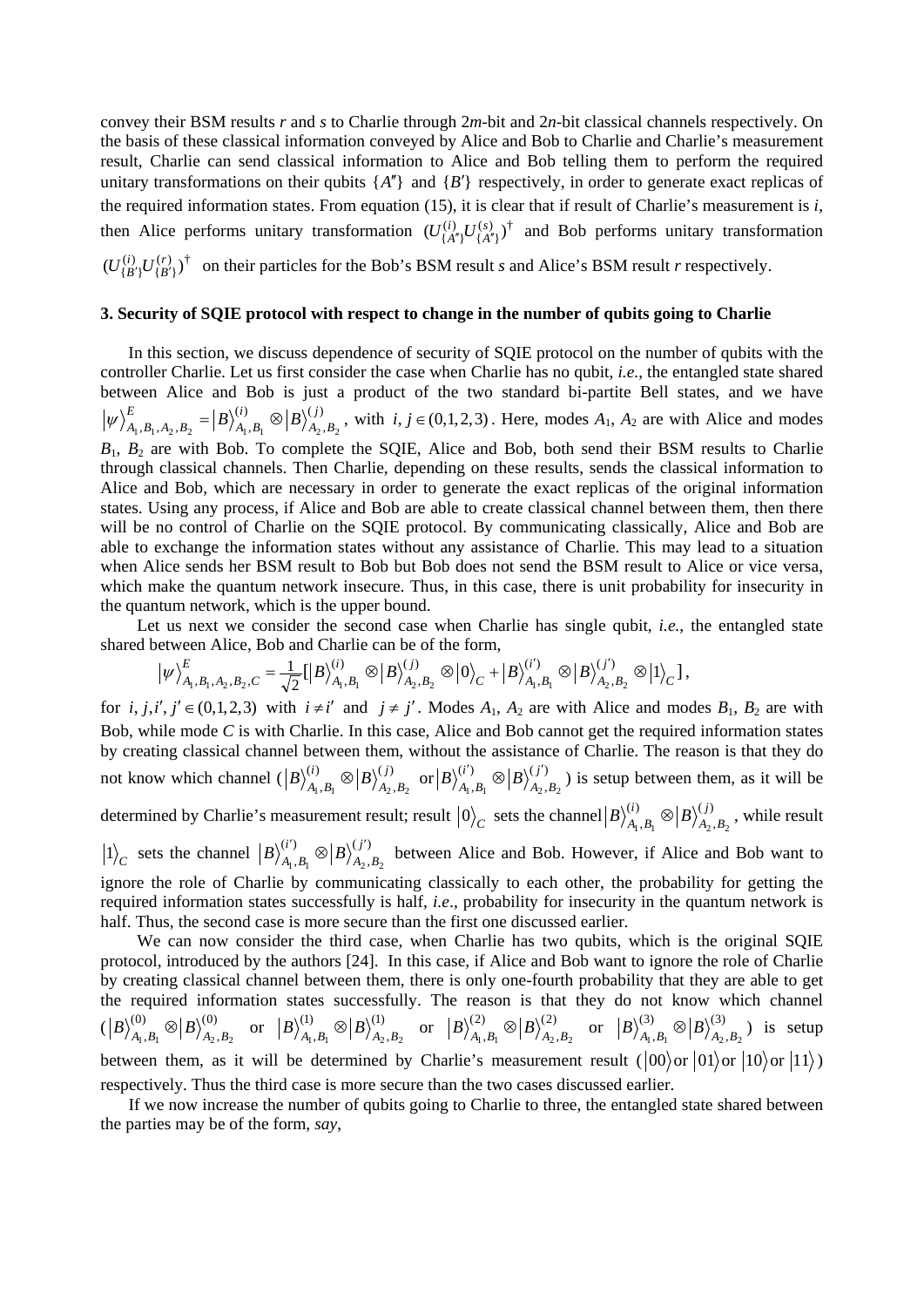convey their BSM results *r* and *s* to Charlie through 2*m*-bit and 2*n*-bit classical channels respectively. On the basis of these classical information conveyed by Alice and Bob to Charlie and Charlie's measurement result, Charlie can send classical information to Alice and Bob telling them to perform the required unitary transformations on their qubits  ${A''}$  and  ${B'}$  respectively, in order to generate exact replicas of the required information states. From equation (15), it is clear that if result of Charlie's measurement is *i*, then Alice performs unitary transformation  $(U_{\{A''\}}^{(i)}U_{\{A''\}}^{(s)})^{\dagger}$  $(U_{\{A''\}}^{(i)}U_{\{A''\}}^{(s)})^{\dagger}$  and Bob performs unitary transformation  $(r)$ ,  $\dagger$  ${B'}$  $(U_{\{B'\}}^{(i)}U_{\{B'\}}^{(r)})^{\dagger}$  on their particles for the Bob's BSM result *s* and Alice's BSM result *r* respectively.

## **3. Security of SQIE protocol with respect to change in the number of qubits going to Charlie**

In this section, we discuss dependence of security of SQIE protocol on the number of qubits with the controller Charlie. Let us first consider the case when Charlie has no qubit, *i.e.*, the entangled state shared between Alice and Bob is just a product of the two standard bi-partite Bell states, and we have  $(j)$ ,  $(i)$  $, B_1, A_2, B_2$  |  $\frac{B}{A_1, B_1}$  |  $\frac{B}{A_2, B_2}$ *j*  $A_2$ , *B i*  $A_1$ ,  $B$  $|\psi\rangle^E_{A_1, B_1, A_2, B_2} = |B\rangle^{(i)}_{A_1, B_1} \otimes |B\rangle^{(j)}_{A_2, B_2}$ , with *i*, *j* ∈ (0,1,2,3). Here, modes *A*<sub>1</sub>, *A*<sub>2</sub> are with Alice and modes *B*1, *B*<sup>2</sup> are with Bob. To complete the SQIE, Alice and Bob, both send their BSM results to Charlie through classical channels. Then Charlie, depending on these results, sends the classical information to Alice and Bob, which are necessary in order to generate the exact replicas of the original information states. Using any process, if Alice and Bob are able to create classical channel between them, then there will be no control of Charlie on the SQIE protocol. By communicating classically, Alice and Bob are able to exchange the information states without any assistance of Charlie. This may lead to a situation when Alice sends her BSM result to Bob but Bob does not send the BSM result to Alice or vice versa, which make the quantum network insecure. Thus, in this case, there is unit probability for insecurity in the quantum network, which is the upper bound.

 Let us next we consider the second case when Charlie has single qubit, *i.e.*, the entangled state shared between Alice, Bob and Charlie can be of the form,

$$
\big| \psi \big\rangle^E_{A_1,B_1,A_2,B_2,C} = \textstyle\frac{1}{\sqrt{2}}\big[ \big| B \big\rangle^{(i)}_{A_1,B_1} \otimes \big| B \big\rangle^{(j)}_{A_2,B_2} \otimes \big| 0 \big\rangle_C + \big| B \big\rangle^{(i')}_{A_1,B_1} \otimes \big| B \big\rangle^{(j')}_{A_2,B_2} \otimes \big| 1 \big\rangle_C \big] \, ,
$$

for *i*, *j*,*i*<sup>'</sup>, *j*<sup>'</sup>  $\in$  (0,1,2,3) with  $i \neq i'$  and  $j \neq j'$ . Modes  $A_1$ ,  $A_2$  are with Alice and modes  $B_1$ ,  $B_2$  are with Bob, while mode *C* is with Charlie. In this case, Alice and Bob cannot get the required information states by creating classical channel between them, without the assistance of Charlie. The reason is that they do not know which channel  $(|B\rangle_{A_1, B_1}^{(i)} \otimes |B\rangle_{A_2, B_1}^{(j)}$  $(i)$  $, B_1 \cup P / A_2, B_2$ *j*  $A_2$ , *B*  $\langle B \rangle_{A_1,B_1}^{(i)} \otimes \big| B \rangle_{A_2,B_2}^{(j)} \ \ {\rm or} \ \big| B \rangle_{A_1,B_1}^{(i')} \otimes \big| B \rangle_{A_2,A_2}^{(j')}$  $(i')$  $A_1, B_1 \cup A_2, B_2$ *j*  $A_2$ , *B*  $B\rangle_{A_1, B_1}^{(i')} \otimes |B\rangle_{A_2, B_2}^{(j')}$  is setup between them, as it will be

determined by Charlie's measurement result; result  $|0\rangle_C$  sets the channel  $|B\rangle_{A_1,B_1}^{(i)} \otimes |B\rangle_{A_2,A_3}^{(j)}$  $(i)$  $A_1, B_1 \cup |A_2, B_2|$ *j*  $A_2$ ,  $B$  $B\Big\rangle^{(i)}_{A_1,B_1}\otimes \Big|B\Big\rangle^{(j)}_{A_2,B_2}$  , while result  $\ket{1}_C$  sets the channel  $\ket{B}_{A_1, B_1}^{(i')} \otimes \ket{B}_{A_2, B_2}^{(j')}$  $(i')$  $A_1, B_1 \cup P/A_2, B_2$ *j*  $A_2$ , *B*  $B)_{A_1, B_1}^{(i')} \otimes |B>_{A_2, B_2}^{(j')}$  between Alice and Bob. However, if Alice and Bob want to

ignore the role of Charlie by communicating classically to each other, the probability for getting the required information states successfully is half, *i.e*., probability for insecurity in the quantum network is half. Thus, the second case is more secure than the first one discussed earlier.

 We can now consider the third case, when Charlie has two qubits, which is the original SQIE protocol, introduced by the authors [24]. In this case, if Alice and Bob want to ignore the role of Charlie by creating classical channel between them, there is only one-fourth probability that they are able to get the required information states successfully. The reason is that they do not know which channel  $(\big| B \big\rangle_{A_{1},B_{1}}^{(0)} \otimes \big| B \big\rangle_{A_{2},B_{1}}^{(0)}$ (0)  $\langle B \rangle_{A_1, B_1}^{(0)} \otimes \big| B \rangle_{A_2, B_2}^{(0)} \;\;\; \text{ or } \;\; \big| B \rangle_{A_1, B_1}^{(1)} \otimes \big| B \rangle_{A_2, B_2}^{(1)} \, .$ (1)  $\langle B \rangle_{A_1, B_1}^{(1)} \otimes \big| B \rangle_{A_2, B_2}^{(1)} \;\; \text{ or } \;\; \big| B \rangle_{A_1, B_1}^{(2)} \otimes \big| B \rangle_{A_2, B_2}^{(2)} \;.$ (2)  $\langle B \rangle_{A_1, B_1}^{(2)} \otimes \big| B \rangle_{A_2, B_2}^{(2)} \;\;\; \text{ or } \;\; \big| B \rangle_{A_1, B_1}^{(3)} \otimes \big| B \rangle_{A_2, B_2}^{(3)} \;.$ (3)  $\left. \frac{B}{A_1, B_1} \otimes \frac{B}{A_2, B_2} \right)$  is setup between them, as it will be determined by Charlie's measurement result  $(100)$  or  $(01)$  or  $(10)$  or  $(11)$ ) respectively. Thus the third case is more secure than the two cases discussed earlier.

If we now increase the number of qubits going to Charlie to three, the entangled state shared between the parties may be of the form, *say*,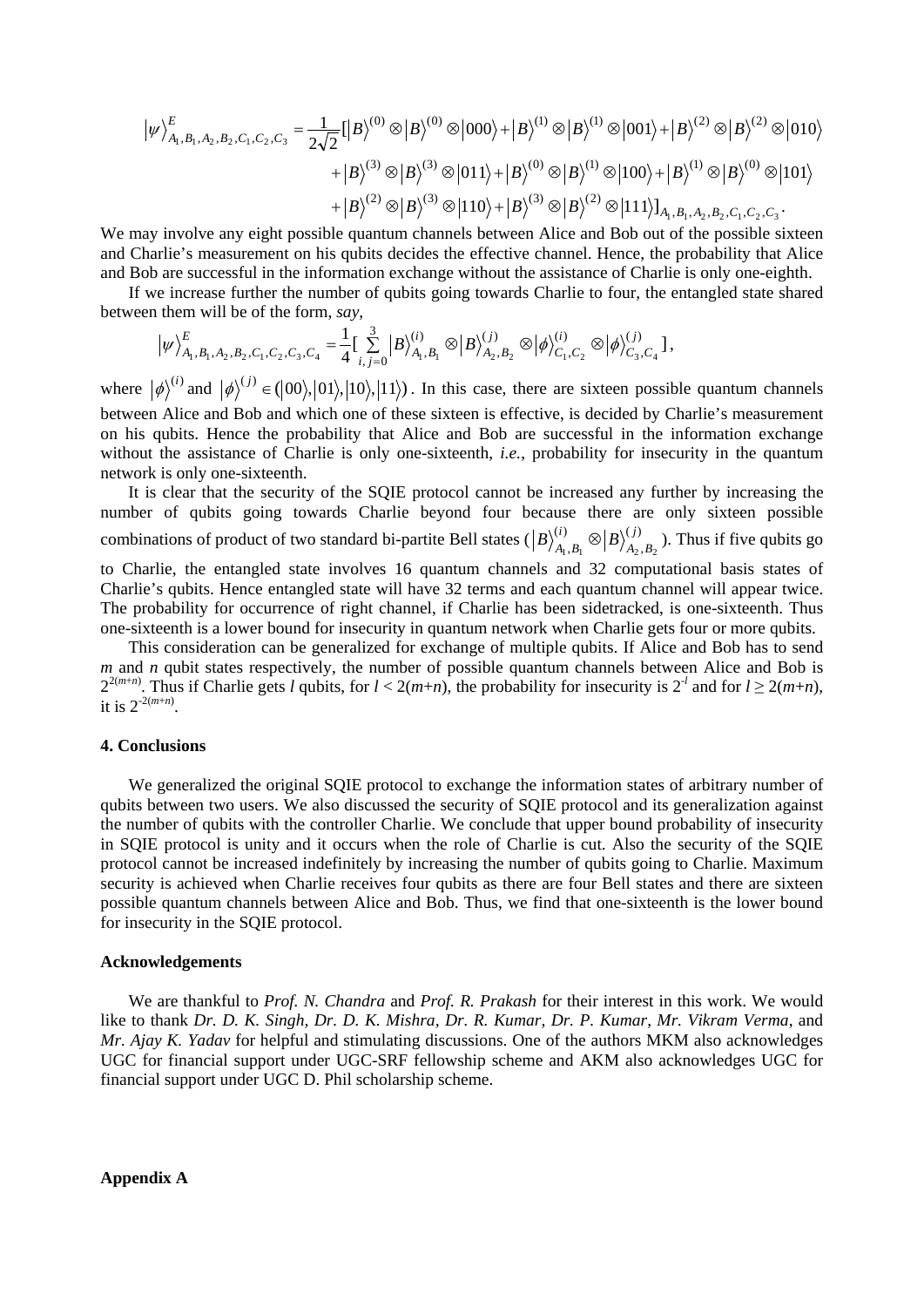$$
|\psi\rangle_{A_1, B_1, A_2, B_2, C_1, C_2, C_3}^E = \frac{1}{2\sqrt{2}} [ |B\rangle^{(0)} \otimes |B\rangle^{(0)} \otimes |000\rangle + |B\rangle^{(1)} \otimes |B\rangle^{(1)} \otimes |001\rangle + |B\rangle^{(2)} \otimes |B\rangle^{(2)} \otimes |010\rangle
$$
  
+  $|B\rangle^{(3)} \otimes |B\rangle^{(3)} \otimes |011\rangle + |B\rangle^{(0)} \otimes |B\rangle^{(1)} \otimes |100\rangle + |B\rangle^{(1)} \otimes |B\rangle^{(0)} \otimes |101\rangle$   
+  $|B\rangle^{(2)} \otimes |B\rangle^{(3)} \otimes |110\rangle + |B\rangle^{(3)} \otimes |B\rangle^{(2)} \otimes |111\rangle]_{A_1, B_1, A_2, B_2, C_1, C_2, C_3}.$ 

We may involve any eight possible quantum channels between Alice and Bob out of the possible sixteen and Charlie's measurement on his qubits decides the effective channel. Hence, the probability that Alice and Bob are successful in the information exchange without the assistance of Charlie is only one-eighth.

If we increase further the number of qubits going towards Charlie to four, the entangled state shared between them will be of the form, *say*,

$$
\big|\psi\big>_{A_1,B_1,A_2,B_2,C_1,C_2,C_3,C_4}^E=\frac{1}{4}\big[\sum_{i,j=0}^3\big|B\big>_{A_1,B_1}^{(i)}\otimes\big|B\big>_{A_2,B_2}^{(j)}\otimes\big|\phi\big>_{C_1,C_2}^{(i)}\otimes\big|\phi\big>_{C_3,C_4}^{(j)}\big],
$$

where  $|\phi\rangle^{(i)}$  and  $|\phi\rangle^{(j)} \in (0,1), |01\rangle, |10\rangle, |11\rangle)$ . In this case, there are sixteen possible quantum channels between Alice and Bob and which one of these sixteen is effective, is decided by Charlie's measurement on his qubits. Hence the probability that Alice and Bob are successful in the information exchange without the assistance of Charlie is only one-sixteenth, *i.e.*, probability for insecurity in the quantum network is only one-sixteenth.

It is clear that the security of the SQIE protocol cannot be increased any further by increasing the number of qubits going towards Charlie beyond four because there are only sixteen possible combinations of product of two standard bi-partite Bell states  $(|B\rangle_{A_1,B_1}^{(i)} \otimes |B\rangle_{A_2,A_3}^{(j)}$  $(i)$  $A_1, B_1 \cup |P|$  /  $A_2, B_2$ *j*  $A_2$ , $B$  $B)_{A_1, B_1}^{(i)} \otimes |B\rangle_{A_2, B_2}^{(j)}$ ). Thus if five qubits go

to Charlie, the entangled state involves 16 quantum channels and 32 computational basis states of Charlie's qubits. Hence entangled state will have 32 terms and each quantum channel will appear twice. The probability for occurrence of right channel, if Charlie has been sidetracked, is one-sixteenth. Thus one-sixteenth is a lower bound for insecurity in quantum network when Charlie gets four or more qubits.

This consideration can be generalized for exchange of multiple qubits. If Alice and Bob has to send *m* and *n* qubit states respectively, the number of possible quantum channels between Alice and Bob is  $2^{2(m+n)}$ . Thus if Charlie gets *l* qubits, for  $l < 2(m+n)$ , the probability for insecurity is  $2^{-l}$  and for  $l \ge 2(m+n)$ , it is  $2^{-2(m+n)}$ .

## **4. Conclusions**

We generalized the original SQIE protocol to exchange the information states of arbitrary number of qubits between two users. We also discussed the security of SQIE protocol and its generalization against the number of qubits with the controller Charlie. We conclude that upper bound probability of insecurity in SQIE protocol is unity and it occurs when the role of Charlie is cut. Also the security of the SQIE protocol cannot be increased indefinitely by increasing the number of qubits going to Charlie. Maximum security is achieved when Charlie receives four qubits as there are four Bell states and there are sixteen possible quantum channels between Alice and Bob. Thus, we find that one-sixteenth is the lower bound for insecurity in the SQIE protocol.

#### **Acknowledgements**

We are thankful to *Prof. N. Chandra* and *Prof. R. Prakash* for their interest in this work. We would like to thank *Dr. D. K. Singh, Dr. D. K. Mishra, Dr. R. Kumar, Dr. P. Kumar*, *Mr. Vikram Verma*, and *Mr. Ajay K. Yadav* for helpful and stimulating discussions. One of the authors MKM also acknowledges UGC for financial support under UGC-SRF fellowship scheme and AKM also acknowledges UGC for financial support under UGC D. Phil scholarship scheme.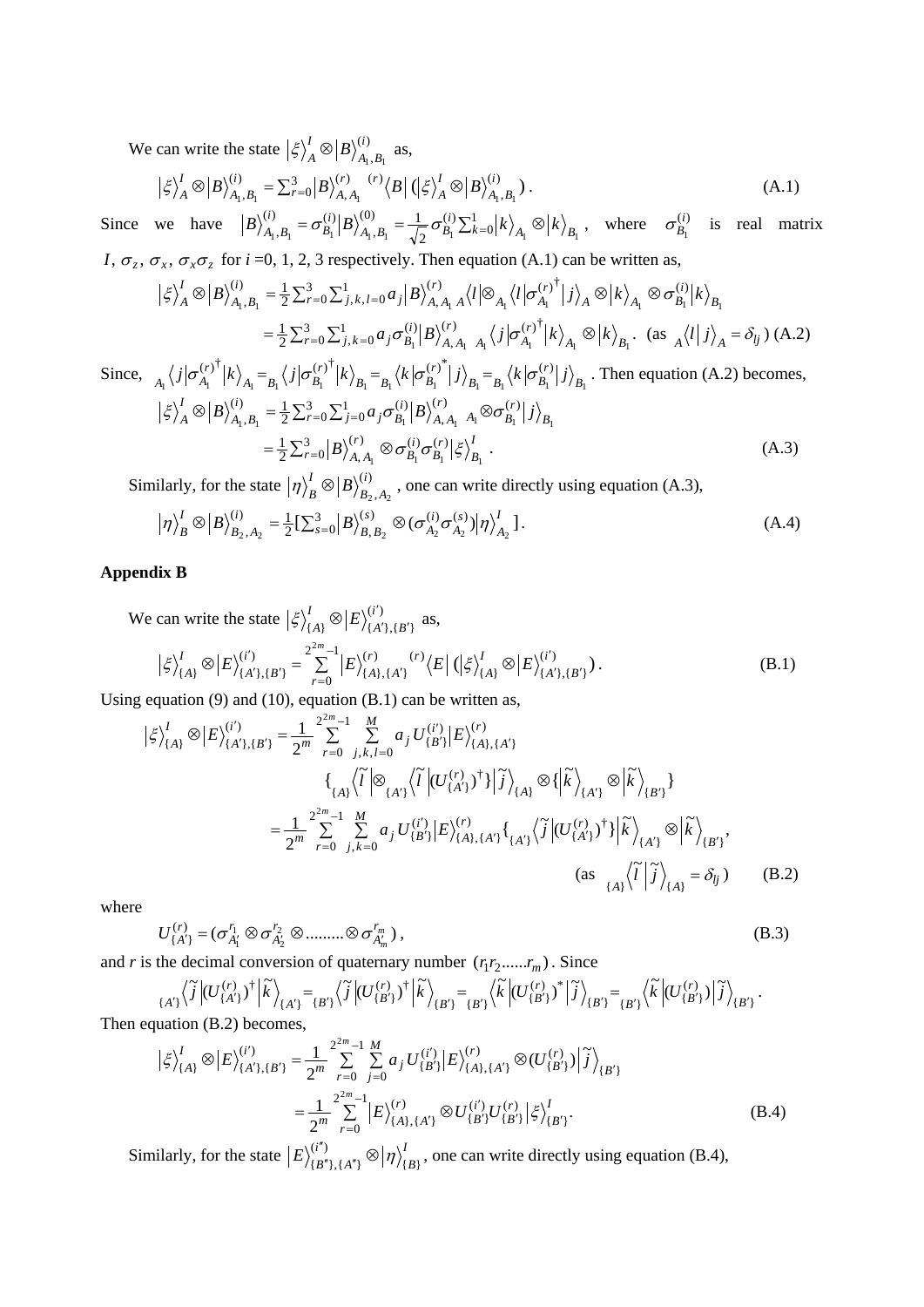We can write the state  $\left|\xi\right\rangle_A^I \otimes \left|B\right\rangle_{A_1, B_1}^{(i)}$ *i*  $A_1$ ,  $B$  $\langle \xi \rangle_A^I \otimes |B\rangle_{A_1,B_1}^{(i)}$  as,

$$
\left|\xi\right\rangle_{A}^{I}\otimes\left|B\right\rangle_{A_{1},B_{1}}^{(i)}=\sum_{r=0}^{3}\left|B\right\rangle_{A,A_{1}}^{(r)}\left\langle B\right|\left(\left|\xi\right\rangle_{A}^{I}\otimes\left|B\right\rangle_{A_{1},B_{1}}^{(i)}\right).
$$
\n(A.1)

Since we have  $\left|B\right\rangle_{A_1,B_1}^{(i)} = \sigma_{B_1}^{(i)} \left|B\right\rangle_{A_1,B_1}^{(0)} = \frac{1}{\sqrt{2}} \sigma_{B_1}^{(i)} \sum_{k=0}^{1} \left|k\right\rangle_{A_k} \otimes$  $(0)$   $\frac{1}{2}$   $\frac{1}{2}$   $(1)$ ,  $(i)$   $\qquad \qquad -\frac{1}{2}$  $A_1, B_1 \quad B_1 \mid B \nmid A_1, B_1 \quad \sqrt{2} \quad B_1 \nleq k = 0 \mid \frac{\lambda}{A_1} \quad B_1 \mid B_1$  $\frac{1}{\sqrt{2}}\sigma_{B_1}^{(i)}\Sigma_{k=0}^1|k\rangle_{A_1}\otimes|k\rangle_{B_2}$ *i*  $A_1, B_1 = \sqrt{2} \cdot B$ *i B*  $B\Big\}_{A_1, B_1}^{(i)} = \sigma_{B_1}^{(i)} \Big| B\Big\}_{A_1, B_1}^{(0)} = \frac{1}{\sqrt{2}} \sigma_{B_1}^{(i)} \Sigma_{k=0}^1 \Big| k \Big\rangle_{A_1} \otimes \Big| k \Big\rangle_{B_1}$ , where  $\sigma_{B_1}^{(i)}$  $\sigma_{B_1}^{(i)}$  is real matrix *I*,  $\sigma_z$ ,  $\sigma_x$ ,  $\sigma_x \sigma_z$  for *i* =0, 1, 2, 3 respectively. Then equation (A.1) can be written as,

$$
\left| \xi \right\rangle_A^I \otimes \left| B \right\rangle_{A_1, B_1}^{(i)} = \frac{1}{2} \sum_{r=0}^3 \sum_{j,k,l=0}^1 a_j \left| B \right\rangle_{A, A_1}^{(r)} A \left\langle l \right| \otimes_{A_1} \left\langle l \right| \sigma_{A_1}^{(r)^\dagger} \left| j \right\rangle_A \otimes \left| k \right\rangle_{A_1} \otimes \sigma_{B_1}^{(i)} \left| k \right\rangle_{B_1}
$$

$$
= \frac{1}{2} \sum_{r=0}^3 \sum_{j,k=0}^1 a_j \sigma_{B_1}^{(i)} \left| B \right\rangle_{A, A_1}^{(r)} A_1 \left\langle j \right| \sigma_{A_1}^{(r)^\dagger} \left| k \right\rangle_{A_1} \otimes \left| k \right\rangle_{B_1}. \text{ (as } {}_A \left\langle l \right| j \right\rangle_A = \delta_{ij} \text{ ) (A.2)}
$$

Since,  $_{A_1}\langle j|\sigma_{A_1}^{(r)}^{\dagger}|k\rangle_{A_1} =_{B_1}\langle j|\sigma_{B_1}^{(r)}^{\dagger}|k\rangle_{B_1} =_{B_1}\langle k|\sigma_{B_1}^{(r)}^{\dagger}|j\rangle_{B_1} =_{B_1}\langle k|\sigma_{B_1}^{(r)}|j\rangle_{B_1}$ *B r*  $B_1$ <sup>-</sup> $B_1$ <sup>'</sup><sup>*B*</sup><sub>*B*</sub> *r*  $B_1$ <sup>-</sup> $B_1$ <sup>'</sup><sup>*B*</sup><sub>*B*</sub> *r*  $A_1$ <sup>-</sup> $B_1$   $\setminus$   $\cup$   $B_2$  $\frac{A_1}{A_1} \langle j | \sigma_{A_1}^{(r)} | k \rangle_{A_1} = \frac{A_1}{B_1} \langle j | \sigma_{B_1}^{(r)} | k \rangle_{B_1} = \frac{A_1}{B_1} \langle k | \sigma_{B_1}^{(r)} | j \rangle_{B_1} = \frac{A_1}{B_1} \langle k | \sigma_{B_1}^{(r)} | j \rangle_{B_1}$ . Then equation (A.2) becomes,  $\otimes \big| B \big\rangle_{A_1,B_1}^{(i)} = \frac{1}{2} \sum_{r=0}^3 \sum_{j=0}^1 a_j \sigma_{B_1}^{(i)} \big| B \big\rangle_{A_1,A_1}^{(r)} \; \; A_1 \otimes$  $(r)$  (*r*) ,  $(i)$   $-1\,\nabla^3$   $\nabla^1$   $a\neq^{(i)}$  $\sum_{i_1, B_1}^{(i)} = \frac{1}{2} \sum_{r=0}^{3} \sum_{j=0}^{1} a_j \sigma_{B_1}^{(i)} \left| B \right\rangle_{A, A_1}^{(r)} \left| A_1 \otimes \sigma_{B_1}^{(r)} \right| j \rangle_{B_1}$ *A A*  $i$ <sup> $\sigma_B^{(i)}$ </sup> *i*  $A_1, B$  $\langle \xi \rangle_A^I \otimes |B\rangle_{A_1, B_1}^{(i)} = \frac{1}{2} \sum_{r=0}^3 \sum_{j=0}^1 a_j \sigma_{B_1}^{(i)} |B\rangle_{A, A_1}^{(r)} |A\rangle_{B_1}^{(r)} |j\rangle$  $=\frac{1}{2}\sum_{r=0}^{3}\left|B\right\rangle_{A,\,A_{1}}^{(r)}\otimes$  $(r) \propto \sigma^{(i)} \sigma^{(r)}$  $\frac{1}{2} \sum_{r=0}^{3} \big| B \big\rangle_{A,\,A_{1}}^{(r)} \otimes \sigma_{B_{1}}^{(i)} \sigma_{B_{1}}^{(r)} \big| \xi \big\rangle_{B_{1}}^{I}$ *B r B i B*  $B\Big\rangle_{A,A_1}^{(r)} \otimes \sigma_{B_1}^{(i)} \sigma_{B_1}^{(r)} \Big\rvert \xi \Big\rangle_{B_1}^{I}.$  (A.3)

Similarly, for the state  $|\eta\rangle_B^I \otimes |B\rangle_{B_2,A_2}^{(i)}$ *i*  $B_2$ ,  $A$  $\ket{\eta}_B^{\prime} \otimes \ket{B}_{B_2,A_2}^{\langle i \rangle}$ , one can write directly using equation (A.3),

$$
\left|\eta\right\rangle_{B}^{I}\otimes\left|B\right\rangle_{B_{2},A_{2}}^{(i)} = \frac{1}{2}\left[\sum_{s=0}^{3}\left|B\right\rangle_{B,B_{2}}^{(s)}\otimes\left(\sigma_{A_{2}}^{(i)}\sigma_{A_{2}}^{(s)}\right)\left|\eta\right\rangle_{A_{2}}^{I}\right].
$$
\n(A.4)

# **Appendix B**

We can write the state  $\left| \xi \right\rangle^I_{\{A\}} \otimes \left| E \right\rangle^{(i')}_{\{A'\},\{B'\}}$ *i*  $A'$ },{ $B$  $\langle \xi \rangle^I_{\{A\}} \otimes |E\rangle^{(i')}_{\{A'\},\{B'\}}$  as,

$$
\left|\xi\right\rangle_{\{A\}}^{I}\otimes\left|E\right\rangle_{\{A'\},\{B'\}}^{(i')}=\sum_{r=0}^{2^{2m}-1}\left|E\right\rangle_{\{A\},\{A'\}}^{(r)}\left\langle E\right|\left(\left|\xi\right\rangle_{\{A\}}^{I}\otimes\left|E\right\rangle_{\{A'\},\{B'\}}^{(i')}.\right).
$$
 (B.1)

Using equation (9) and (10), equation (B.1) can be written as,

$$
\left| \xi \right\rangle_{\{A\}}^{I} \otimes \left| E \right\rangle_{\{A'\},\{B'\}}^{(i')} = \frac{1}{2^{m}} \sum_{r=0}^{2^{m}-1} \sum_{j,k,l=0}^{M} a_{j} U_{\{B'\}}^{(i')} \left| E \right\rangle_{\{A\},\{A'\}}^{(r)}
$$

$$
\left\{ \left\langle \xi \right\rangle_{\{A'\}} \left\langle \tilde{I} \right| \otimes \left\langle \xi \right|_{\{A'\}} \left\langle \tilde{I} \right| (U_{\{A'\}}^{(r)})^{\dagger} \right| \tilde{J} \right\rangle_{\{A\}} \otimes \left\{ \left| \tilde{K} \right\rangle_{\{A'\}} \otimes \left| \tilde{K} \right\rangle_{\{B'\}} \right\}
$$

$$
= \frac{1}{2^{m}} \sum_{r=0}^{2^{2m}-1} \sum_{j,k=0}^{M} a_{j} U_{\{B'\}}^{(i')} \left| E \right\rangle_{\{A\},\{A'\}}^{(r)} \left\{ \left\langle \xi \right|_{\{A'\}} \left\langle \tilde{J} \right| (U_{\{A'\}}^{(r)})^{\dagger} \right| \left| \tilde{K} \right\rangle_{\{A'\}} \otimes \left| \tilde{K} \right\rangle_{\{B'\}},
$$

$$
(as \ \left\langle \xi \right| \tilde{J} \right\rangle_{\{A\}} = \delta_{ij}) \qquad (B.2)
$$

where

$$
U_{\{A'\}}^{(r)} = (\sigma_{A'_1}^{r_1} \otimes \sigma_{A'_2}^{r_2} \otimes \dots \otimes \sigma_{A'_m}^{r_m}),
$$
 (B.3)

and *r* is the decimal conversion of quaternary number  $(r_1 r_2 \ldots r_m)$ . Since

{ } ( ) { } { } { } ( ) \* { } { } { } ( ) † { } { } { } ( ) † { } { } <sup>~</sup> ( ) <sup>~</sup> <sup>~</sup> ( ) <sup>~</sup> <sup>~</sup> ( ) <sup>~</sup> <sup>~</sup> ( ) <sup>~</sup> *B r <sup>B</sup> <sup>B</sup> <sup>B</sup> r <sup>B</sup> <sup>B</sup> <sup>B</sup> r <sup>B</sup> <sup>A</sup> <sup>B</sup> r <sup>A</sup> <sup>A</sup> <sup>j</sup> <sup>U</sup> <sup>k</sup> <sup>j</sup> <sup>U</sup> <sup>k</sup> <sup>k</sup> <sup>U</sup> <sup>j</sup> <sup>k</sup> <sup>U</sup> <sup>j</sup>* ′ ′ ′ ′ ′ ′ ′ ′ ′ ′ ′ ′ <sup>=</sup> <sup>=</sup> <sup>=</sup> .

Then equation (B.2) becomes,

$$
\left|\xi\right\rangle_{\{A\}}^{I} \otimes \left|E\right\rangle_{\{A'\},\{B'\}}^{(i')} = \frac{1}{2^{m}} \sum_{r=0}^{2^{2m}-1} \sum_{j=0}^{M} a_{j} U_{\{B'\}}^{(i')} \left|E\right\rangle_{\{A\},\{A'\}}^{(r)} \otimes (U_{\{B'\}}^{(r)}) \left|\tilde{j}\right\rangle_{\{B'\}} = \frac{1}{2^{m}} \sum_{r=0}^{2^{2m}-1} \left|E\right\rangle_{\{A\},\{A'\}}^{(r)} \otimes U_{\{B'\}}^{(i')} U_{\{B'\}}^{(r)} \left|\xi\right\rangle_{\{B'\}}^{I}.
$$
(B.4)

Similarly, for the state  $|E\rangle^{(i'')}_{\{B''\},\{A''\}} \otimes | \eta\rangle^I_{\{B\}}$  $E \rangle_{\{B^n\},\{A^n\}}^{(i'')} \otimes |\eta\rangle_{\{B\}}^I$ , one can write directly using equation (B.4),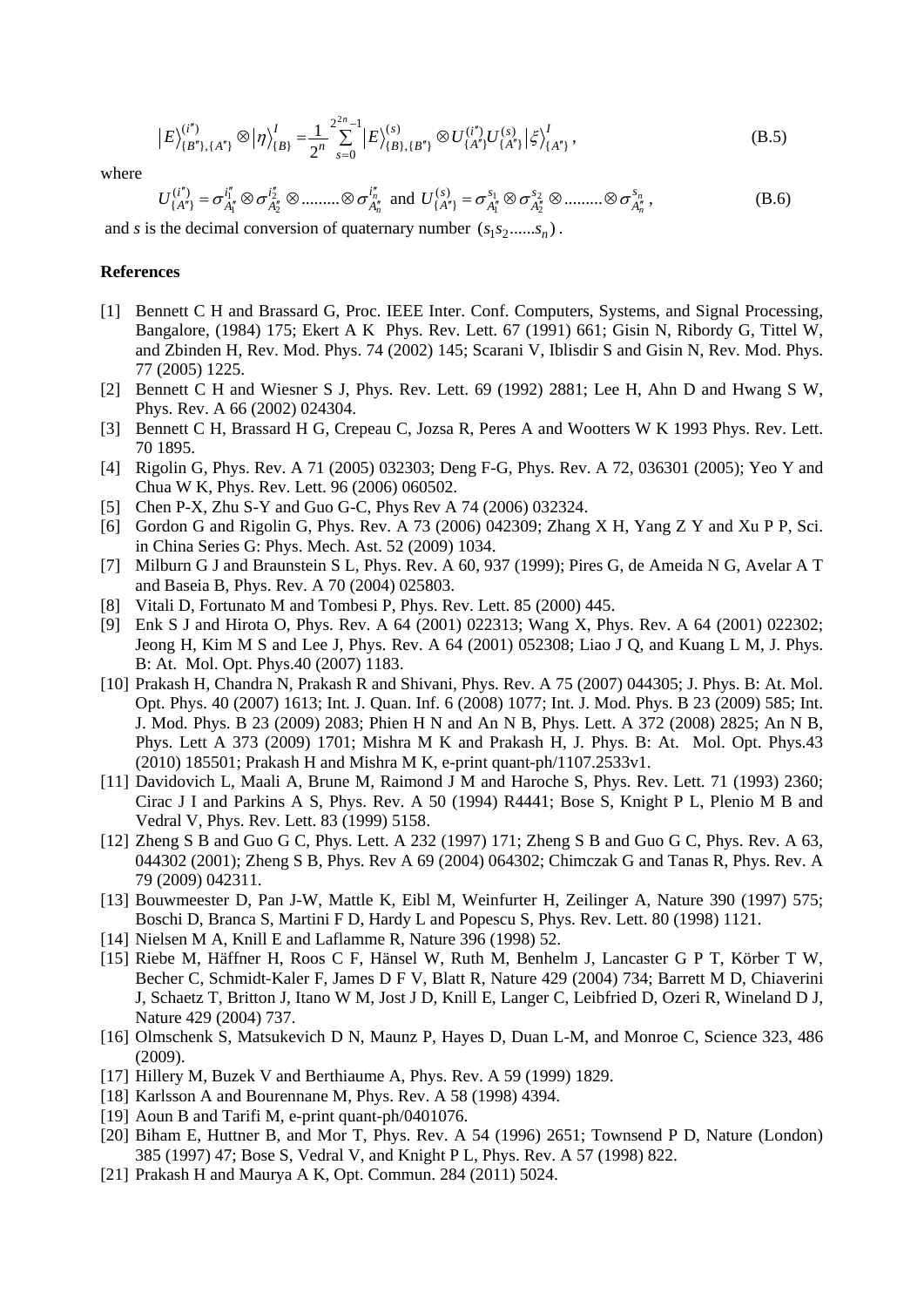$$
\left|E\right\rangle_{\{B^{n}\},\{A^{n}\}}^{(i^{n})}\otimes\left|\eta\right\rangle_{\{B\}}^{I}=\frac{1}{2^{n}}\sum_{s=0}^{2^{2n}-1}\left|E\right\rangle_{\{B\},\{B^{n}\}}^{(s)}\otimes U_{\{A^{n}\}}^{(i^{n})}U_{\{A^{n}\}}^{(s)}\left|\xi\right\rangle_{\{A^{n}\}}^{I},\tag{B.5}
$$

where

$$
U_{\{A''\}}^{(i'')} = \sigma_{A''_1}^{i''_1} \otimes \sigma_{A''_2}^{i''_2} \otimes \dots \dots \otimes \sigma_{A''_n}^{i''_n} \text{ and } U_{\{A''\}}^{(s)} = \sigma_{A''_1}^{s_1} \otimes \sigma_{A''_2}^{s_2} \otimes \dots \dots \otimes \sigma_{A''_n}^{s_n},
$$
(B.6)

and *s* is the decimal conversion of quaternary number  $(s_1 s_2 ......., s_n)$ .

# **References**

- [1] Bennett C H and Brassard G, Proc. IEEE Inter. Conf. Computers, Systems, and Signal Processing, Bangalore, (1984) 175; Ekert A K Phys. Rev. Lett. 67 (1991) 661; Gisin N, Ribordy G, Tittel W, and Zbinden H, Rev. Mod. Phys. 74 (2002) 145; Scarani V, Iblisdir S and Gisin N, Rev. Mod. Phys. 77 (2005) 1225.
- [2] Bennett C H and Wiesner S J, Phys. Rev. Lett. 69 (1992) 2881; Lee H, Ahn D and Hwang S W, Phys. Rev. A 66 (2002) 024304.
- [3] Bennett C H, Brassard H G, Crepeau C, Jozsa R, Peres A and Wootters W K 1993 Phys. Rev. Lett. 70 1895.
- [4] Rigolin G, Phys. Rev. A 71 (2005) 032303; Deng F-G, Phys. Rev. A 72, 036301 (2005); Yeo Y and Chua W K, Phys. Rev. Lett. 96 (2006) 060502.
- [5] Chen P-X, Zhu S-Y and Guo G-C, Phys Rev A 74 (2006) 032324.
- [6] Gordon G and Rigolin G, Phys. Rev. A 73 (2006) 042309; Zhang X H, Yang Z Y and Xu P P, Sci. in China Series G: Phys. Mech. Ast. 52 (2009) 1034.
- [7] Milburn G J and Braunstein S L, Phys. Rev. A 60, 937 (1999); Pires G, de Ameida N G, Avelar A T and Baseia B, Phys. Rev. A 70 (2004) 025803.
- [8] Vitali D, Fortunato M and Tombesi P, Phys. Rev. Lett. 85 (2000) 445.
- [9] Enk S J and Hirota O, Phys. Rev. A 64 (2001) 022313; Wang X, Phys. Rev. A 64 (2001) 022302; Jeong H, Kim M S and Lee J, Phys. Rev. A 64 (2001) 052308; Liao J Q, and Kuang L M, J. Phys. B: At. Mol. Opt. Phys.40 (2007) 1183.
- [10] Prakash H, Chandra N, Prakash R and Shivani, Phys. Rev. A 75 (2007) 044305; J. Phys. B: At. Mol. Opt. Phys. 40 (2007) 1613; Int. J. Quan. Inf. 6 (2008) 1077; Int. J. Mod. Phys. B 23 (2009) 585; Int. J. Mod. Phys. B 23 (2009) 2083; Phien H N and An N B, Phys. Lett. A 372 (2008) 2825; An N B, Phys. Lett A 373 (2009) 1701; Mishra M K and Prakash H, J. Phys. B: At. Mol. Opt. Phys.43 (2010) 185501; Prakash H and Mishra M K, e-print quant-ph/1107.2533v1.
- [11] Davidovich L, Maali A, Brune M, Raimond J M and Haroche S, Phys. Rev. Lett. 71 (1993) 2360; Cirac J I and Parkins A S, Phys. Rev. A 50 (1994) R4441; Bose S, Knight P L, Plenio M B and Vedral V, Phys. Rev. Lett. 83 (1999) 5158.
- [12] Zheng S B and Guo G C, Phys. Lett. A 232 (1997) 171; Zheng S B and Guo G C, Phys. Rev. A 63, 044302 (2001); Zheng S B, Phys. Rev A 69 (2004) 064302; Chimczak G and Tanas R, Phys. Rev. A 79 (2009) 042311.
- [13] Bouwmeester D, Pan J-W, Mattle K, Eibl M, Weinfurter H, Zeilinger A, Nature 390 (1997) 575; Boschi D, Branca S, Martini F D, Hardy L and Popescu S, Phys. Rev. Lett. 80 (1998) 1121.
- [14] Nielsen M A, Knill E and Laflamme R, Nature 396 (1998) 52.
- [15] Riebe M, Häffner H, Roos C F, Hänsel W, Ruth M, Benhelm J, Lancaster G P T, Körber T W, Becher C, Schmidt-Kaler F, James D F V, Blatt R, Nature 429 (2004) 734; Barrett M D, Chiaverini J, Schaetz T, Britton J, Itano W M, Jost J D, Knill E, Langer C, Leibfried D, Ozeri R, Wineland D J, Nature 429 (2004) 737.
- [16] Olmschenk S, Matsukevich D N, Maunz P, Hayes D, Duan L-M, and Monroe C, Science 323, 486 (2009).
- [17] Hillery M, Buzek V and Berthiaume A, Phys. Rev. A 59 (1999) 1829.
- [18] Karlsson A and Bourennane M, Phys. Rev. A 58 (1998) 4394.
- [19] Aoun B and Tarifi M, e-print quant-ph/0401076.
- [20] Biham E, Huttner B, and Mor T, Phys. Rev. A 54 (1996) 2651; Townsend P D, Nature (London) 385 (1997) 47; Bose S, Vedral V, and Knight P L, Phys. Rev. A 57 (1998) 822.
- [21] Prakash H and Maurya A K, Opt. Commun. 284 (2011) 5024.